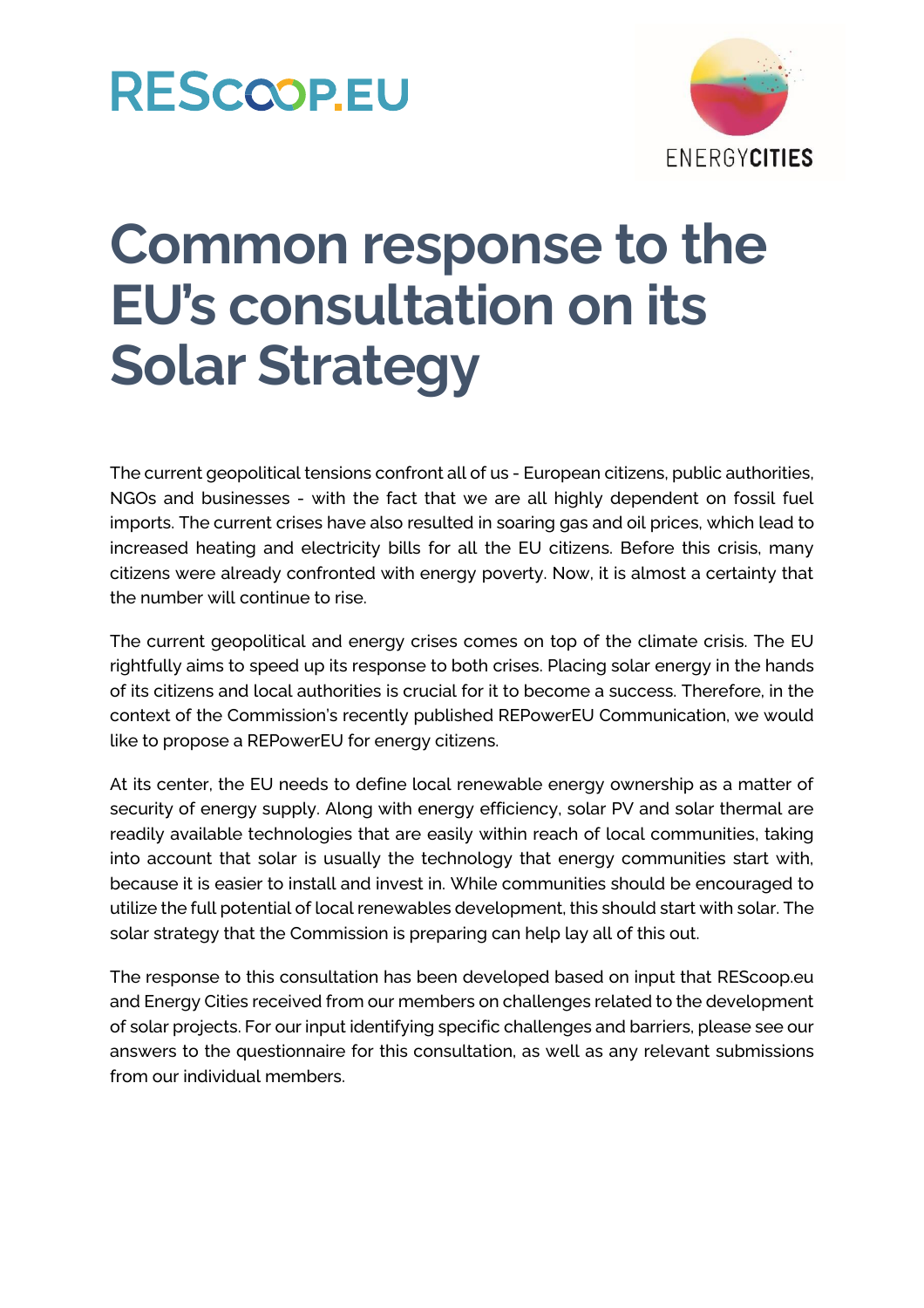### **RESCOOPEU**



## **Common response to the EU's consultation on its Solar Strategy**

The current geopolitical tensions confront all of us - European citizens, public authorities, NGOs and businesses - with the fact that we are all highly dependent on fossil fuel imports. The current crises have also resulted in soaring gas and oil prices, which lead to increased heating and electricity bills for all the EU citizens. Before this crisis, many citizens were already confronted with energy poverty. Now, it is almost a certainty that the number will continue to rise.

The current geopolitical and energy crises comes on top of the climate crisis. The EU rightfully aims to speed up its response to both crises. Placing solar energy in the hands of its citizens and local authorities is crucial for it to become a success. Therefore, in the context of the Commission's recently published REPowerEU Communication, we would like to propose a REPowerEU for energy citizens.

At its center, the EU needs to define local renewable energy ownership as a matter of security of energy supply. Along with energy efficiency, solar PV and solar thermal are readily available technologies that are easily within reach of local communities, taking into account that solar is usually the technology that energy communities start with, because it is easier to install and invest in. While communities should be encouraged to utilize the full potential of local renewables development, this should start with solar. The solar strategy that the Commission is preparing can help lay all of this out.

The response to this consultation has been developed based on input that REScoop.eu and Energy Cities received from our members on challenges related to the development of solar projects. For our input identifying specific challenges and barriers, please see our answers to the questionnaire for this consultation, as well as any relevant submissions from our individual members.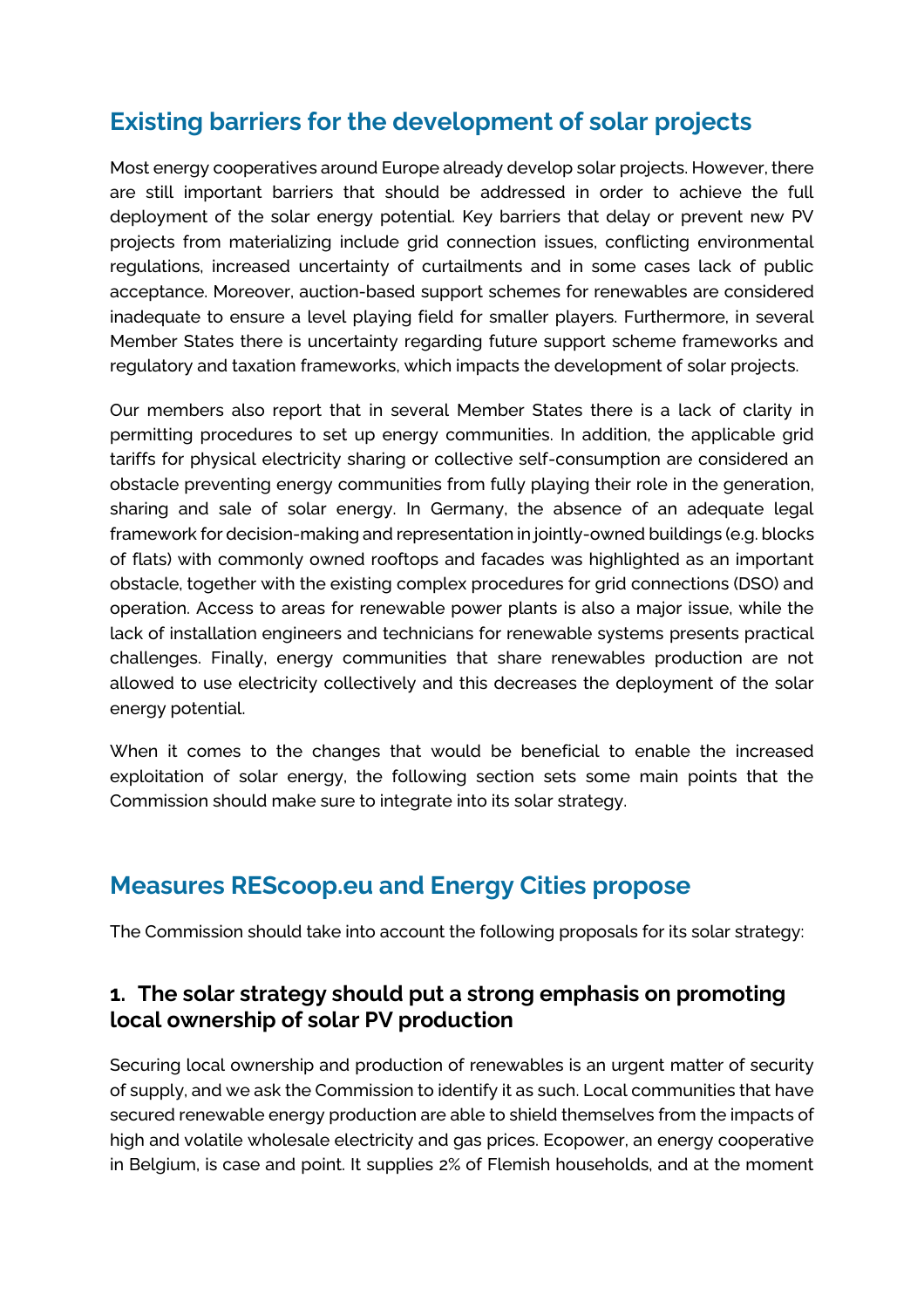### **Existing barriers for the development of solar projects**

Most energy cooperatives around Europe already develop solar projects. However, there are still important barriers that should be addressed in order to achieve the full deployment of the solar energy potential. Key barriers that delay or prevent new PV projects from materializing include grid connection issues, conflicting environmental regulations, increased uncertainty of curtailments and in some cases lack of public acceptance. Moreover, auction-based support schemes for renewables are considered inadequate to ensure a level playing field for smaller players. Furthermore, in several Member States there is uncertainty regarding future support scheme frameworks and regulatory and taxation frameworks, which impacts the development of solar projects.

Our members also report that in several Member States there is a lack of clarity in permitting procedures to set up energy communities. In addition, the applicable grid tariffs for physical electricity sharing or collective self-consumption are considered an obstacle preventing energy communities from fully playing their role in the generation, sharing and sale of solar energy. In Germany, the absence of an adequate legal framework for decision-making and representation in jointly-owned buildings (e.g. blocks of flats) with commonly owned rooftops and facades was highlighted as an important obstacle, together with the existing complex procedures for grid connections (DSO) and operation. Access to areas for renewable power plants is also a major issue, while the lack of installation engineers and technicians for renewable systems presents practical challenges. Finally, energy communities that share renewables production are not allowed to use electricity collectively and this decreases the deployment of the solar energy potential.

When it comes to the changes that would be beneficial to enable the increased exploitation of solar energy, the following section sets some main points that the Commission should make sure to integrate into its solar strategy.

### **Measures REScoop.eu and Energy Cities propose**

The Commission should take into account the following proposals for its solar strategy:

#### **1. The solar strategy should put a strong emphasis on promoting local ownership of solar PV production**

Securing local ownership and production of renewables is an urgent matter of security of supply, and we ask the Commission to identify it as such. Local communities that have secured renewable energy production are able to shield themselves from the impacts of high and volatile wholesale electricity and gas prices. Ecopower, an energy cooperative in Belgium, is case and point. It supplies 2% of Flemish households, and at the moment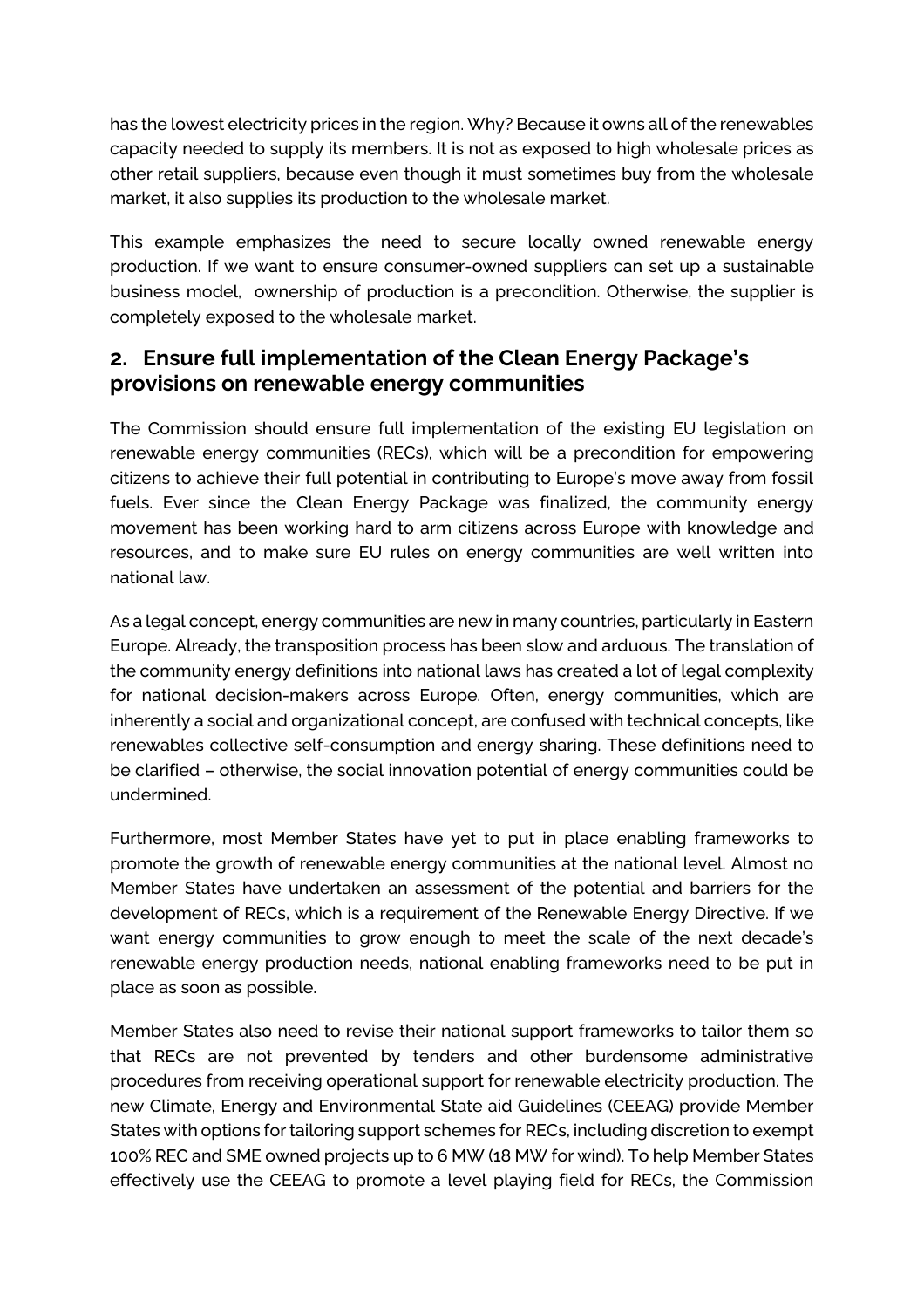has the lowest electricity prices in the region. Why? Because it owns all of the renewables capacity needed to supply its members. It is not as exposed to high wholesale prices as other retail suppliers, because even though it must sometimes buy from the wholesale market, it also supplies its production to the wholesale market.

This example emphasizes the need to secure locally owned renewable energy production. If we want to ensure consumer-owned suppliers can set up a sustainable business model, ownership of production is a precondition. Otherwise, the supplier is completely exposed to the wholesale market.

#### **2. Ensure full implementation of the Clean Energy Package's provisions on renewable energy communities**

The Commission should ensure full implementation of the existing EU legislation on renewable energy communities (RECs), which will be a precondition for empowering citizens to achieve their full potential in contributing to Europe's move away from fossil fuels. Ever since the Clean Energy Package was finalized, the community energy movement has been working hard to arm citizens across Europe with knowledge and resources, and to make sure EU rules on energy communities are well written into national law.

As a legal concept, energy communities are new in many countries, particularly in Eastern Europe. Already, the transposition process has been slow and arduous. The translation of the community energy definitions into national laws has created a lot of legal complexity for national decision-makers across Europe. Often, energy communities, which are inherently a social and organizational concept, are confused with technical concepts, like renewables collective self-consumption and energy sharing. These definitions need to be clarified – otherwise, the social innovation potential of energy communities could be undermined.

Furthermore, most Member States have yet to put in place enabling frameworks to promote the growth of renewable energy communities at the national level. Almost no Member States have undertaken an assessment of the potential and barriers for the development of RECs, which is a requirement of the Renewable Energy Directive. If we want energy communities to grow enough to meet the scale of the next decade's renewable energy production needs, national enabling frameworks need to be put in place as soon as possible.

Member States also need to revise their national support frameworks to tailor them so that RECs are not prevented by tenders and other burdensome administrative procedures from receiving operational support for renewable electricity production. The new Climate, Energy and Environmental State aid Guidelines (CEEAG) provide Member States with options for tailoring support schemes for RECs, including discretion to exempt 100% REC and SME owned projects up to 6 MW (18 MW for wind). To help Member States effectively use the CEEAG to promote a level playing field for RECs, the Commission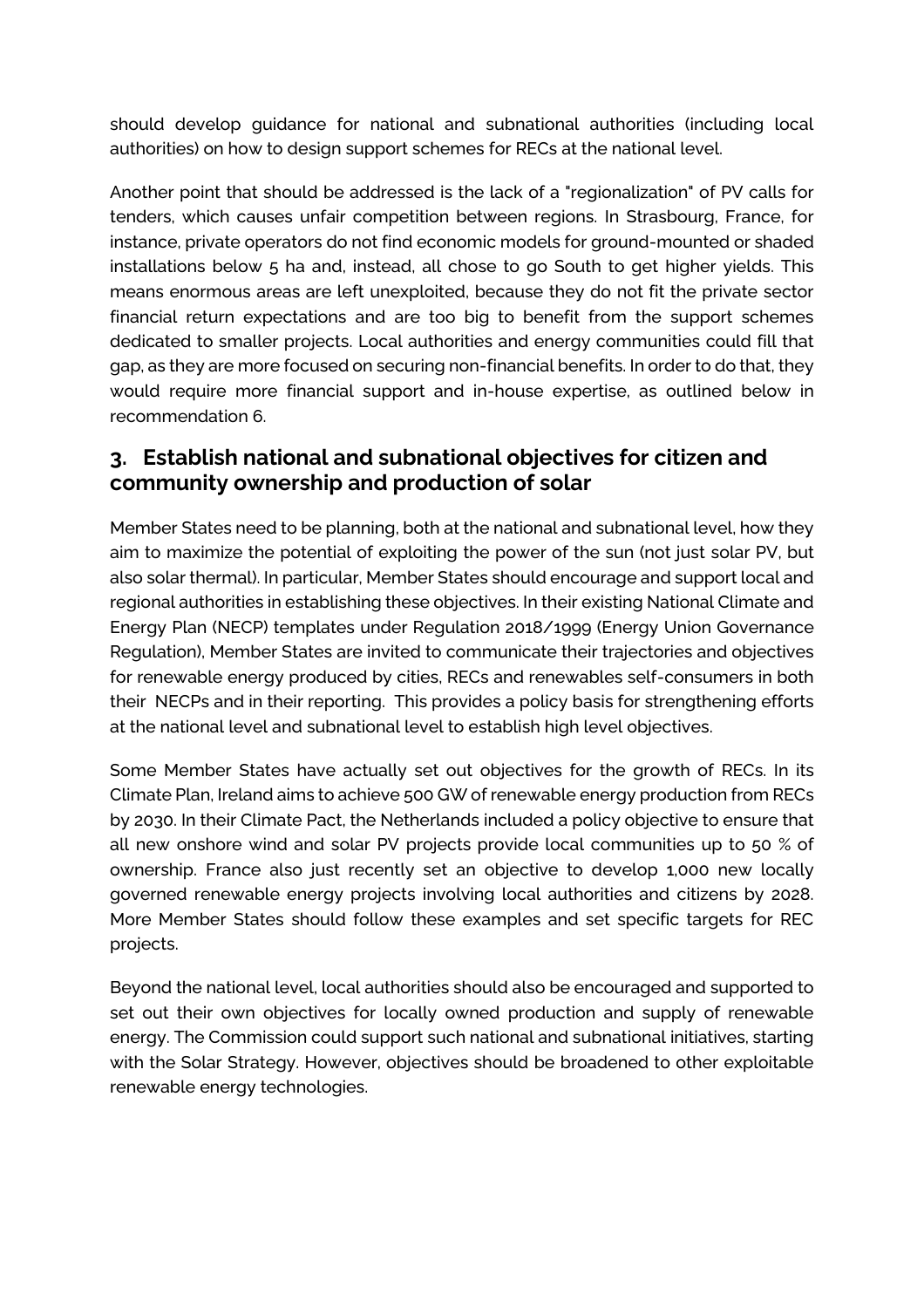should develop guidance for national and subnational authorities (including local authorities) on how to design support schemes for RECs at the national level.

Another point that should be addressed is the lack of a "regionalization" of PV calls for tenders, which causes unfair competition between regions. In Strasbourg, France, for instance, private operators do not find economic models for ground-mounted or shaded installations below 5 ha and, instead, all chose to go South to get higher yields. This means enormous areas are left unexploited, because they do not fit the private sector financial return expectations and are too big to benefit from the support schemes dedicated to smaller projects. Local authorities and energy communities could fill that gap, as they are more focused on securing non-financial benefits. In order to do that, they would require more financial support and in-house expertise, as outlined below in recommendation 6.

#### **3. Establish national and subnational objectives for citizen and community ownership and production of solar**

Member States need to be planning, both at the national and subnational level, how they aim to maximize the potential of exploiting the power of the sun (not just solar PV, but also solar thermal). In particular, Member States should encourage and support local and regional authorities in establishing these objectives. In their existing National Climate and Energy Plan (NECP) templates under Regulation 2018/1999 (Energy Union Governance Regulation), Member States are invited to communicate their trajectories and objectives for renewable energy produced by cities, RECs and renewables self-consumers in both their NECPs and in their reporting. This provides a policy basis for strengthening efforts at the national level and subnational level to establish high level objectives.

Some Member States have actually set out objectives for the growth of RECs. In its Climate Plan, Ireland aims to achieve 500 GW of renewable energy production from RECs by 2030. In their Climate Pact, the Netherlands included a policy objective to ensure that all new onshore wind and solar PV projects provide local communities up to 50 % of ownership. France also just recently set an objective to develop 1,000 new locally governed renewable energy projects involving local authorities and citizens by 2028. More Member States should follow these examples and set specific targets for REC projects.

Beyond the national level, local authorities should also be encouraged and supported to set out their own objectives for locally owned production and supply of renewable energy. The Commission could support such national and subnational initiatives, starting with the Solar Strategy. However, objectives should be broadened to other exploitable renewable energy technologies.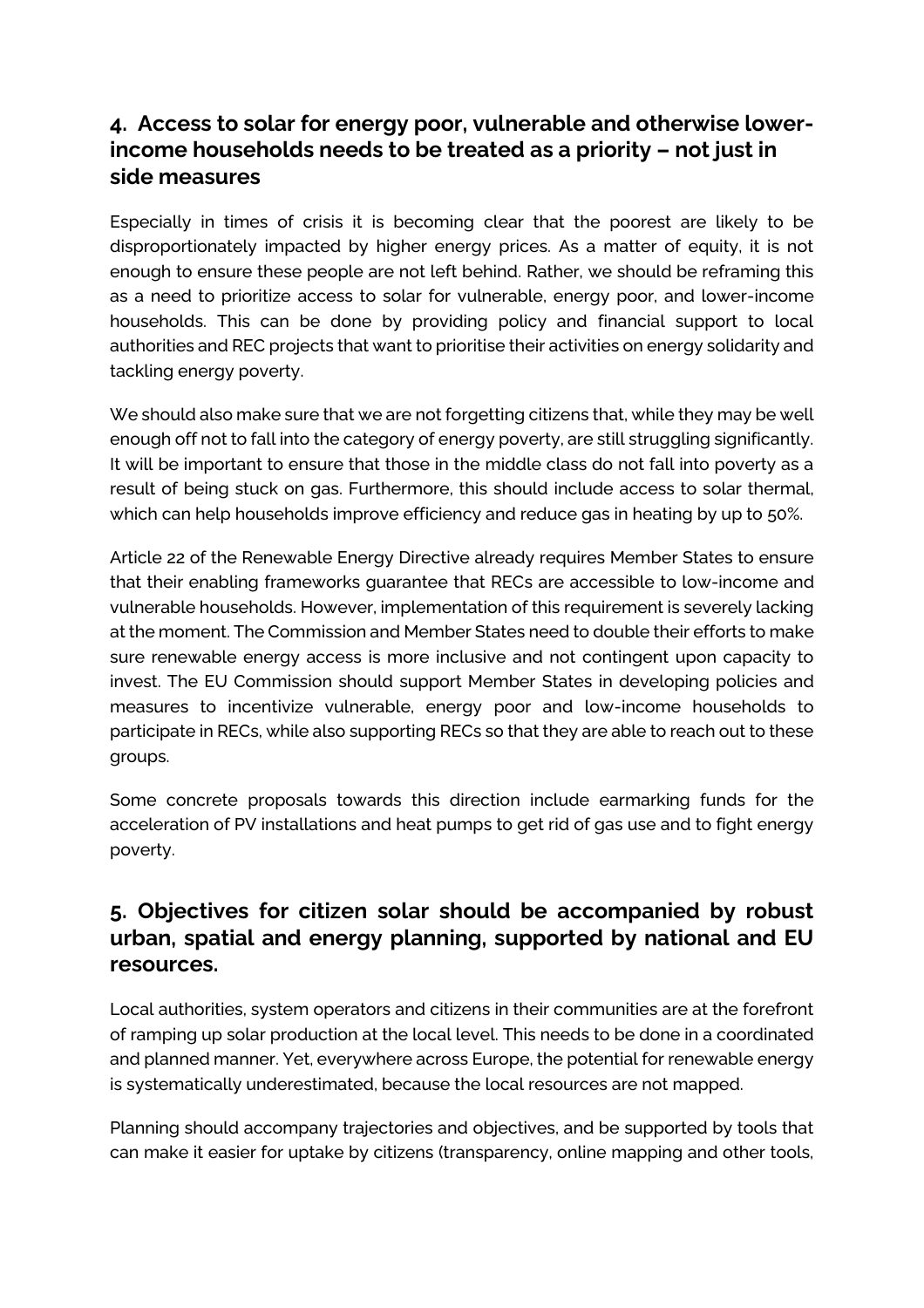#### **4. Access to solar for energy poor, vulnerable and otherwise lowerincome households needs to be treated as a priority – not just in side measures**

Especially in times of crisis it is becoming clear that the poorest are likely to be disproportionately impacted by higher energy prices. As a matter of equity, it is not enough to ensure these people are not left behind. Rather, we should be reframing this as a need to prioritize access to solar for vulnerable, energy poor, and lower-income households. This can be done by providing policy and financial support to local authorities and REC projects that want to prioritise their activities on energy solidarity and tackling energy poverty.

We should also make sure that we are not forgetting citizens that, while they may be well enough off not to fall into the category of energy poverty, are still struggling significantly. It will be important to ensure that those in the middle class do not fall into poverty as a result of being stuck on gas. Furthermore, this should include access to solar thermal, which can help households improve efficiency and reduce gas in heating by up to 50%.

Article 22 of the Renewable Energy Directive already requires Member States to ensure that their enabling frameworks guarantee that RECs are accessible to low-income and vulnerable households. However, implementation of this requirement is severely lacking at the moment. The Commission and Member States need to double their efforts to make sure renewable energy access is more inclusive and not contingent upon capacity to invest. The EU Commission should support Member States in developing policies and measures to incentivize vulnerable, energy poor and low-income households to participate in RECs, while also supporting RECs so that they are able to reach out to these groups.

Some concrete proposals towards this direction include earmarking funds for the acceleration of PV installations and heat pumps to get rid of gas use and to fight energy poverty.

#### **5. Objectives for citizen solar should be accompanied by robust urban, spatial and energy planning, supported by national and EU resources.**

Local authorities, system operators and citizens in their communities are at the forefront of ramping up solar production at the local level. This needs to be done in a coordinated and planned manner. Yet, everywhere across Europe, the potential for renewable energy is systematically underestimated, because the local resources are not mapped.

Planning should accompany trajectories and objectives, and be supported by tools that can make it easier for uptake by citizens (transparency, online mapping and other tools,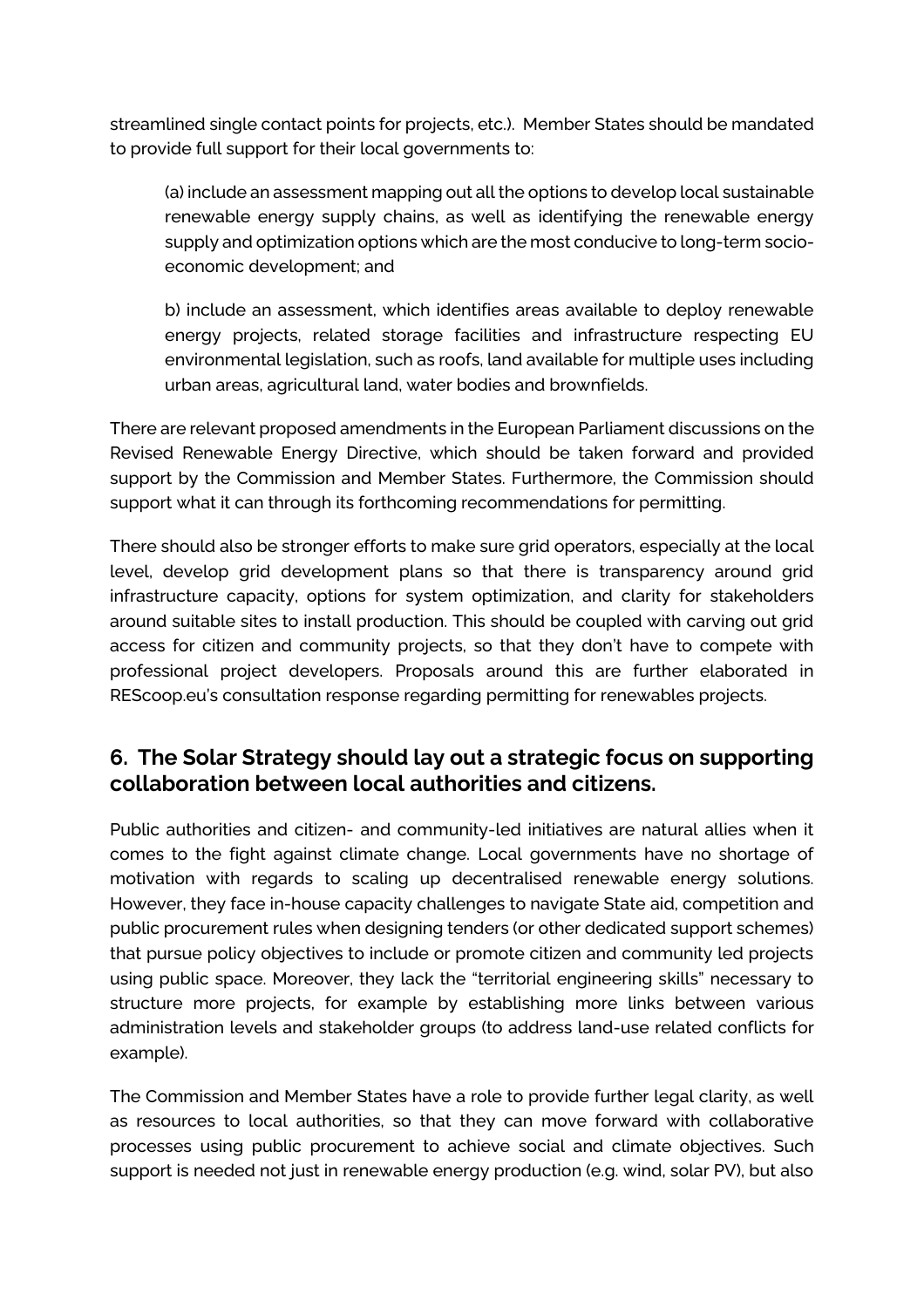streamlined single contact points for projects, etc.). Member States should be mandated to provide full support for their local governments to:

(a) include an assessment mapping out all the options to develop local sustainable renewable energy supply chains, as well as identifying the renewable energy supply and optimization options which are the most conducive to long-term socioeconomic development; and

b) include an assessment, which identifies areas available to deploy renewable energy projects, related storage facilities and infrastructure respecting EU environmental legislation, such as roofs, land available for multiple uses including urban areas, agricultural land, water bodies and brownfields.

There are relevant proposed amendments in the European Parliament discussions on the Revised Renewable Energy Directive, which should be taken forward and provided support by the Commission and Member States. Furthermore, the Commission should support what it can through its forthcoming recommendations for permitting.

There should also be stronger efforts to make sure grid operators, especially at the local level, develop grid development plans so that there is transparency around grid infrastructure capacity, options for system optimization, and clarity for stakeholders around suitable sites to install production. This should be coupled with carving out grid access for citizen and community projects, so that they don't have to compete with professional project developers. Proposals around this are further elaborated in REScoop.eu's consultation response regarding permitting for renewables projects.

#### **6. The Solar Strategy should lay out a strategic focus on supporting collaboration between local authorities and citizens.**

Public authorities and citizen- and community-led initiatives are natural allies when it comes to the fight against climate change. Local governments have no shortage of motivation with regards to scaling up decentralised renewable energy solutions. However, they face in-house capacity challenges to navigate State aid, competition and public procurement rules when designing tenders (or other dedicated support schemes) that pursue policy objectives to include or promote citizen and community led projects using public space. Moreover, they lack the "territorial engineering skills" necessary to structure more projects, for example by establishing more links between various administration levels and stakeholder groups (to address land-use related conflicts for example).

The Commission and Member States have a role to provide further legal clarity, as well as resources to local authorities, so that they can move forward with collaborative processes using public procurement to achieve social and climate objectives. Such support is needed not just in renewable energy production (e.g. wind, solar PV), but also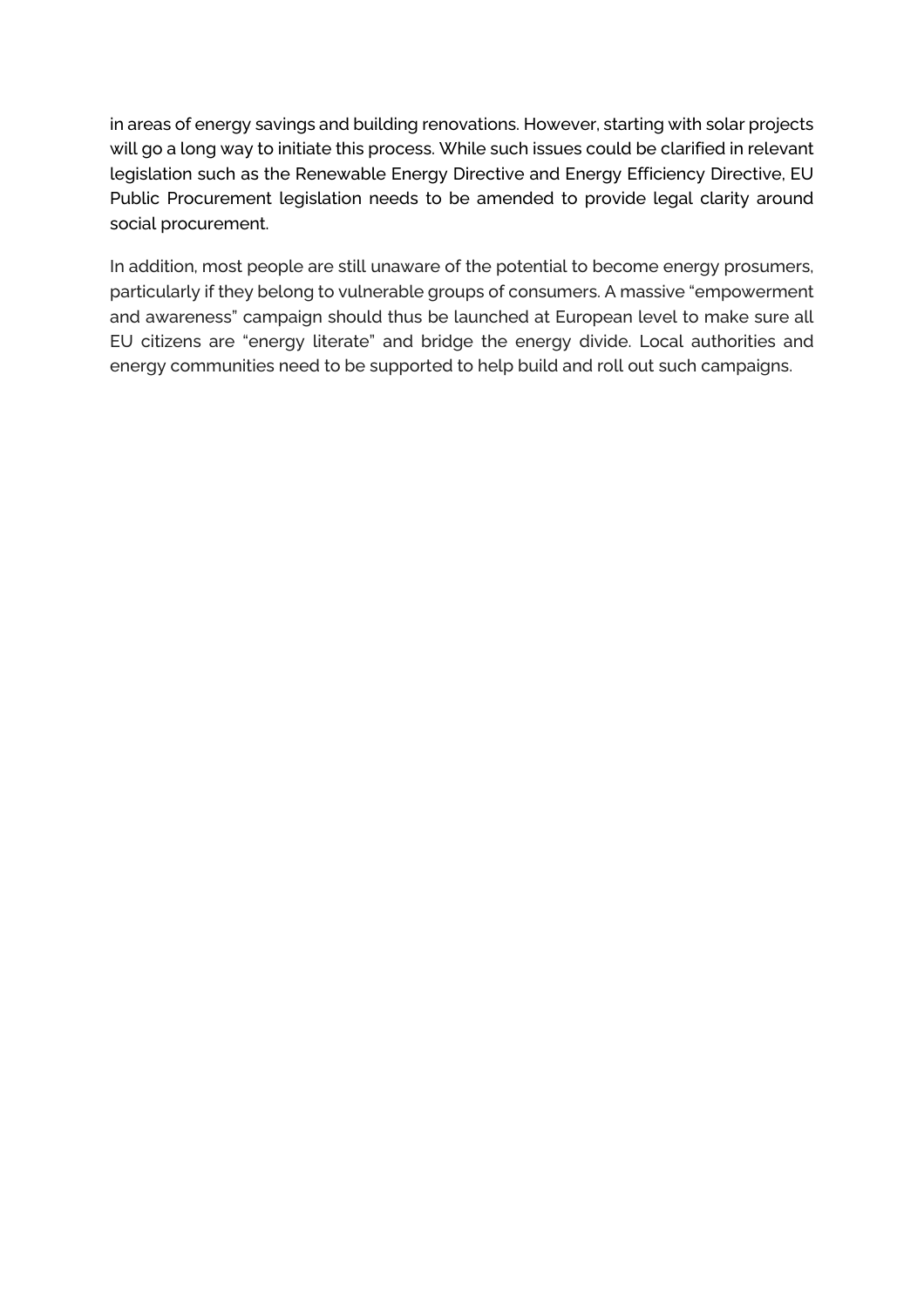in areas of energy savings and building renovations. However, starting with solar projects will go a long way to initiate this process. While such issues could be clarified in relevant legislation such as the Renewable Energy Directive and Energy Efficiency Directive, EU Public Procurement legislation needs to be amended to provide legal clarity around social procurement.

In addition, most people are still unaware of the potential to become energy prosumers, particularly if they belong to vulnerable groups of consumers. A massive "empowerment and awareness" campaign should thus be launched at European level to make sure all EU citizens are "energy literate" and bridge the energy divide. Local authorities and energy communities need to be supported to help build and roll out such campaigns.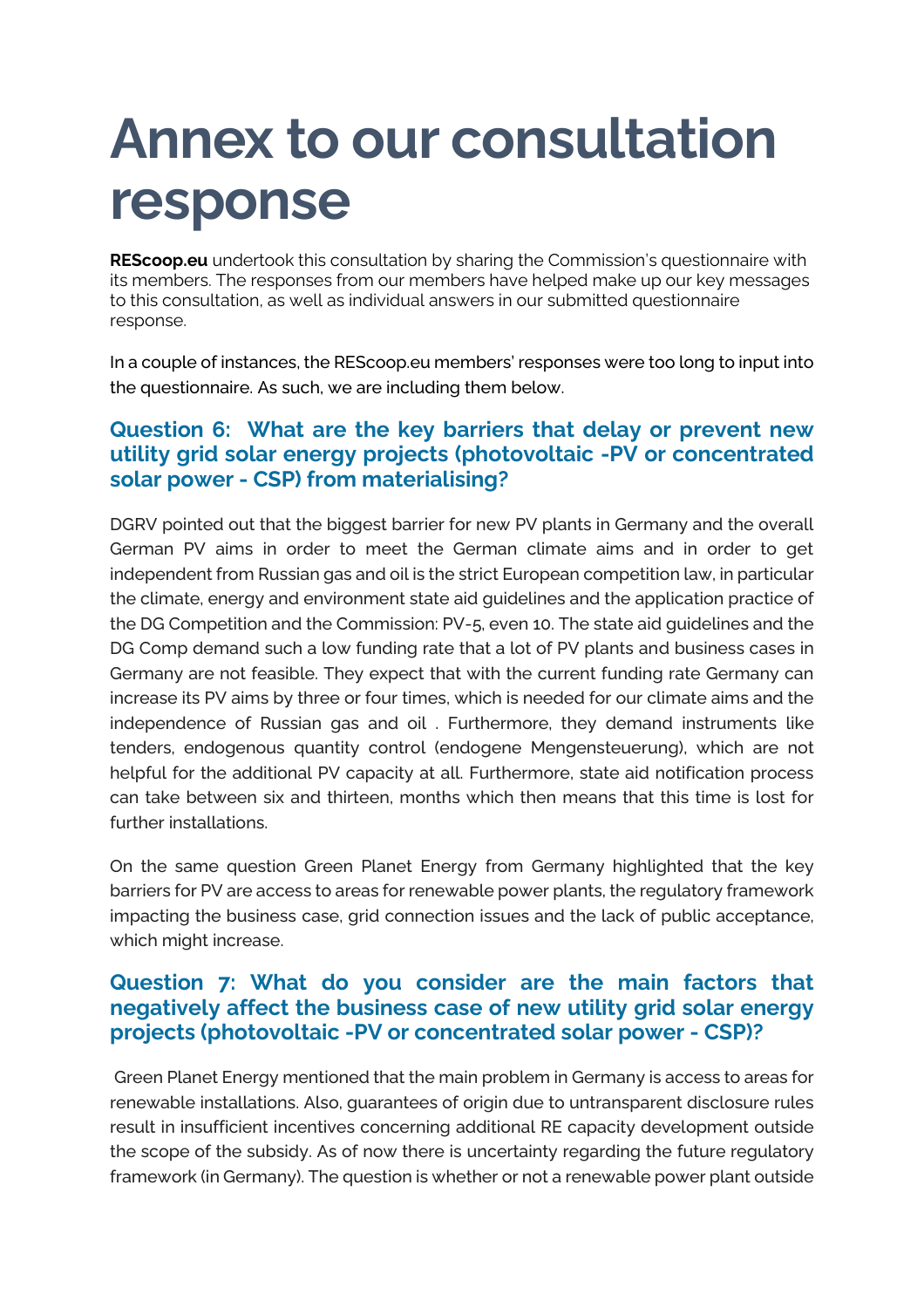# **Annex to our consultation response**

**REScoop.eu** undertook this consultation by sharing the Commission's questionnaire with its members. The responses from our members have helped make up our key messages to this consultation, as well as individual answers in our submitted questionnaire response.

In a couple of instances, the REScoop.eu members' responses were too long to input into the questionnaire. As such, we are including them below.

#### **Question 6: What are the key barriers that delay or prevent new utility grid solar energy projects (photovoltaic -PV or concentrated solar power - CSP) from materialising?**

DGRV pointed out that the biggest barrier for new PV plants in Germany and the overall German PV aims in order to meet the German climate aims and in order to get independent from Russian gas and oil is the strict European competition law, in particular the climate, energy and environment state aid guidelines and the application practice of the DG Competition and the Commission: PV-5, even 10. The state aid guidelines and the DG Comp demand such a low funding rate that a lot of PV plants and business cases in Germany are not feasible. They expect that with the current funding rate Germany can increase its PV aims by three or four times, which is needed for our climate aims and the independence of Russian gas and oil . Furthermore, they demand instruments like tenders, endogenous quantity control (endogene Mengensteuerung), which are not helpful for the additional PV capacity at all. Furthermore, state aid notification process can take between six and thirteen, months which then means that this time is lost for further installations.

On the same question Green Planet Energy from Germany highlighted that the key barriers for PV are access to areas for renewable power plants, the regulatory framework impacting the business case, grid connection issues and the lack of public acceptance, which might increase.

#### **Question 7: What do you consider are the main factors that negatively affect the business case of new utility grid solar energy projects (photovoltaic -PV or concentrated solar power - CSP)?**

Green Planet Energy mentioned that the main problem in Germany is access to areas for renewable installations. Also, guarantees of origin due to untransparent disclosure rules result in insufficient incentives concerning additional RE capacity development outside the scope of the subsidy. As of now there is uncertainty regarding the future regulatory framework (in Germany). The question is whether or not a renewable power plant outside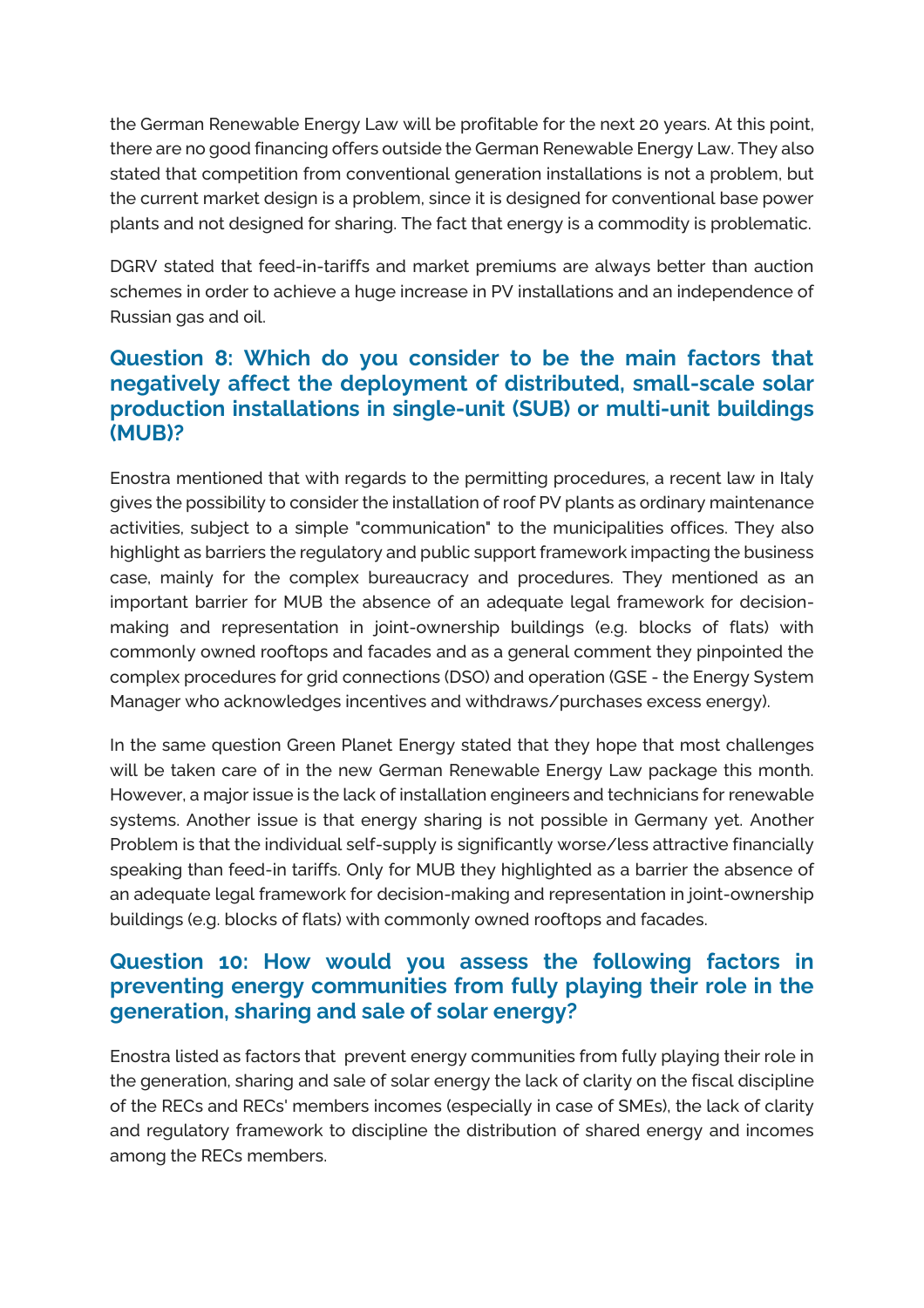the German Renewable Energy Law will be profitable for the next 20 years. At this point, there are no good financing offers outside the German Renewable Energy Law. They also stated that competition from conventional generation installations is not a problem, but the current market design is a problem, since it is designed for conventional base power plants and not designed for sharing. The fact that energy is a commodity is problematic.

DGRV stated that feed-in-tariffs and market premiums are always better than auction schemes in order to achieve a huge increase in PV installations and an independence of Russian gas and oil.

#### **Question 8: Which do you consider to be the main factors that negatively affect the deployment of distributed, small-scale solar production installations in single-unit (SUB) or multi-unit buildings (MUB)?**

Enostra mentioned that with regards to the permitting procedures, a recent law in Italy gives the possibility to consider the installation of roof PV plants as ordinary maintenance activities, subject to a simple "communication" to the municipalities offices. They also highlight as barriers the regulatory and public support framework impacting the business case, mainly for the complex bureaucracy and procedures. They mentioned as an important barrier for MUB the absence of an adequate legal framework for decisionmaking and representation in joint-ownership buildings (e.g. blocks of flats) with commonly owned rooftops and facades and as a general comment they pinpointed the complex procedures for grid connections (DSO) and operation (GSE - the Energy System Manager who acknowledges incentives and withdraws/purchases excess energy).

In the same question Green Planet Energy stated that they hope that most challenges will be taken care of in the new German Renewable Energy Law package this month. However, a major issue is the lack of installation engineers and technicians for renewable systems. Another issue is that energy sharing is not possible in Germany yet. Another Problem is that the individual self-supply is significantly worse/less attractive financially speaking than feed-in tariffs. Only for MUB they highlighted as a barrier the absence of an adequate legal framework for decision-making and representation in joint-ownership buildings (e.g. blocks of flats) with commonly owned rooftops and facades.

#### **Question 10: How would you assess the following factors in preventing energy communities from fully playing their role in the generation, sharing and sale of solar energy?**

Enostra listed as factors that prevent energy communities from fully playing their role in the generation, sharing and sale of solar energy the lack of clarity on the fiscal discipline of the RECs and RECs' members incomes (especially in case of SMEs), the lack of clarity and regulatory framework to discipline the distribution of shared energy and incomes among the RECs members.